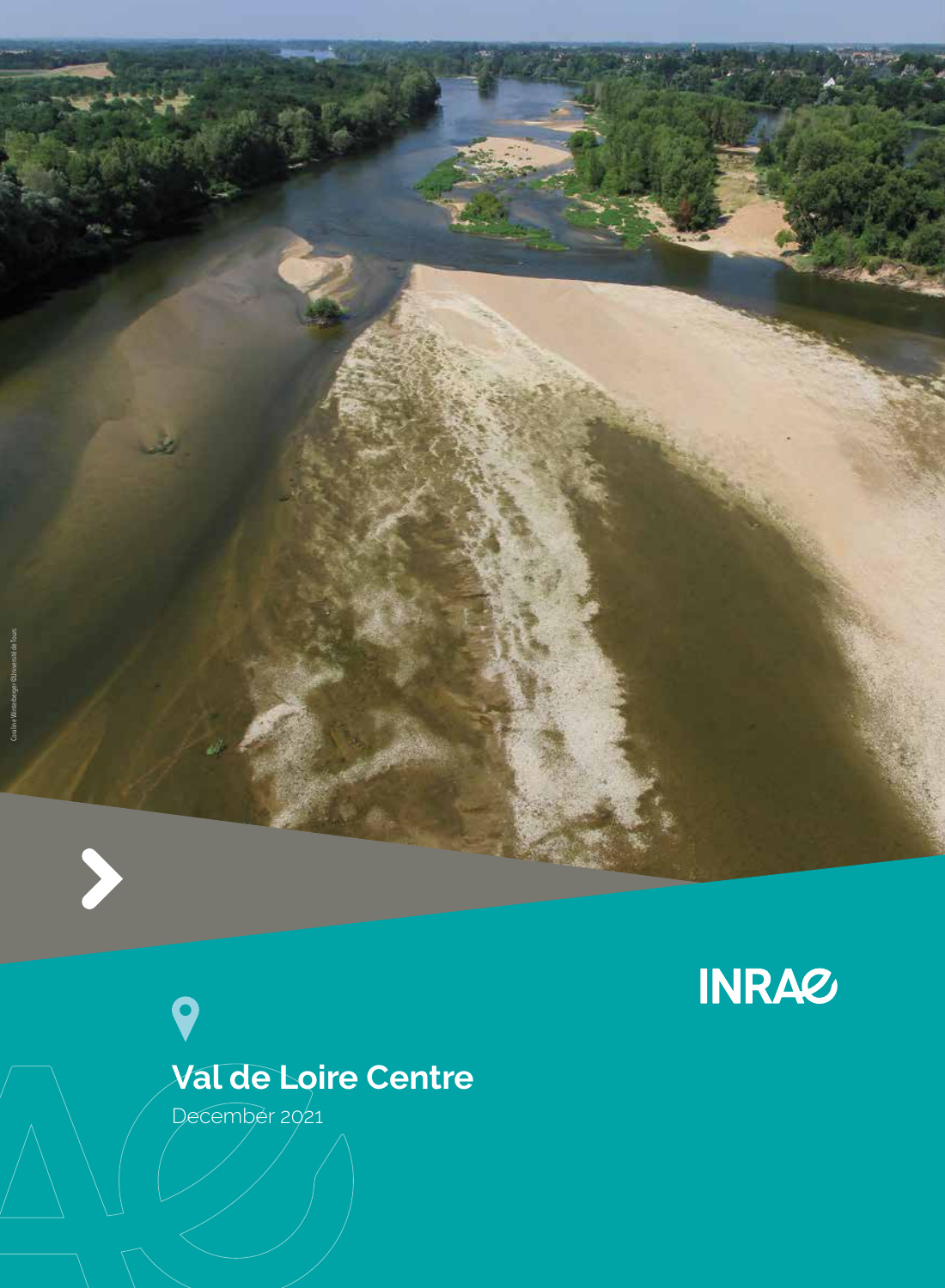



**INRAZ** 

December 2021

9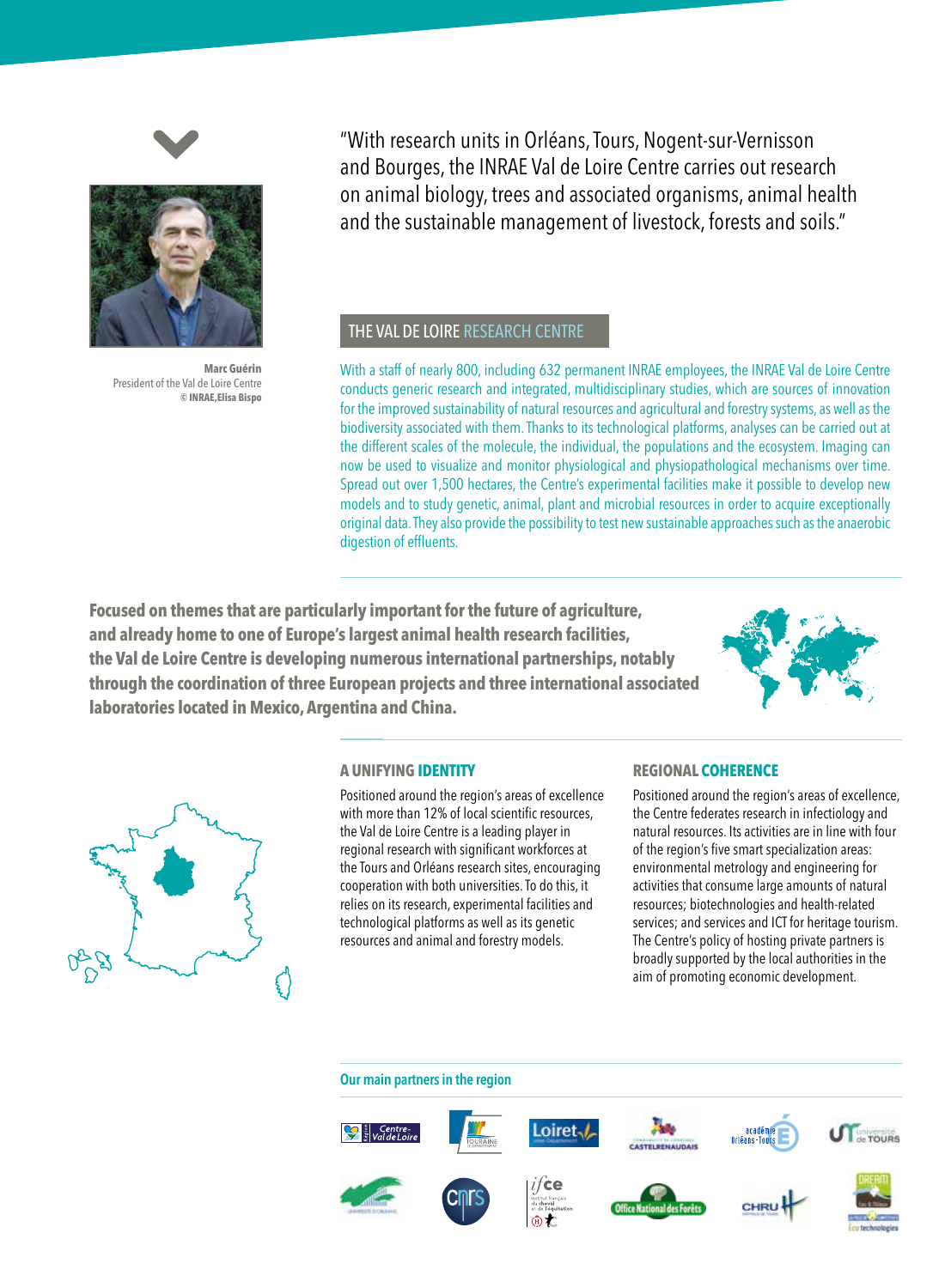



**Marc Guérin** President of the Val de Loire Centre **© INRAE,Elisa Bispo**

"With research units in Orléans, Tours, Nogent-sur-Vernisson and Bourges, the INRAE Val de Loire Centre carries out research on animal biology, trees and associated organisms, animal health and the sustainable management of livestock, forests and soils."

### THE VAL DE LOIRE RESEARCH CENTRE

With a staff of nearly 800, including 632 permanent INRAE employees, the INRAE Val de Loire Centre conducts generic research and integrated, multidisciplinary studies, which are sources of innovation for the improved sustainability of natural resources and agricultural and forestry systems, as well as the biodiversity associated with them. Thanks to its technological platforms, analyses can be carried out at the different scales of the molecule, the individual, the populations and the ecosystem. Imaging can now be used to visualize and monitor physiological and physiopathological mechanisms over time. Spread out over 1,500 hectares, the Centre's experimental facilities make it possible to develop new models and to study genetic, animal, plant and microbial resources in order to acquire exceptionally original data. They also provide the possibility to test new sustainable approaches such as the anaerobic digestion of effluents.

**Focused on themes that are particularly important for the future of agriculture, and already home to one of Europe's largest animal health research facilities, the Val de Loire Centre is developing numerous international partnerships, notably through the coordination of three European projects and three international associated laboratories located in Mexico, Argentina and China.** 





Positioned around the region's areas of excellence with more than 12% of local scientific resources, the Val de Loire Centre is a leading player in regional research with significant workforces at the Tours and Orléans research sites, encouraging cooperation with both universities. To do this, it relies on its research, experimental facilities and technological platforms as well as its genetic resources and animal and forestry models.

#### **A UNIFYING IDENTITY REGIONAL COHERENCE**

Positioned around the region's areas of excellence, the Centre federates research in infectiology and natural resources. Its activities are in line with four of the region's five smart specialization areas: environmental metrology and engineering for activities that consume large amounts of natural resources; biotechnologies and health-related services; and services and ICT for heritage tourism. The Centre's policy of hosting private partners is broadly supported by the local authorities in the aim of promoting economic development.

#### Our main partners in the region

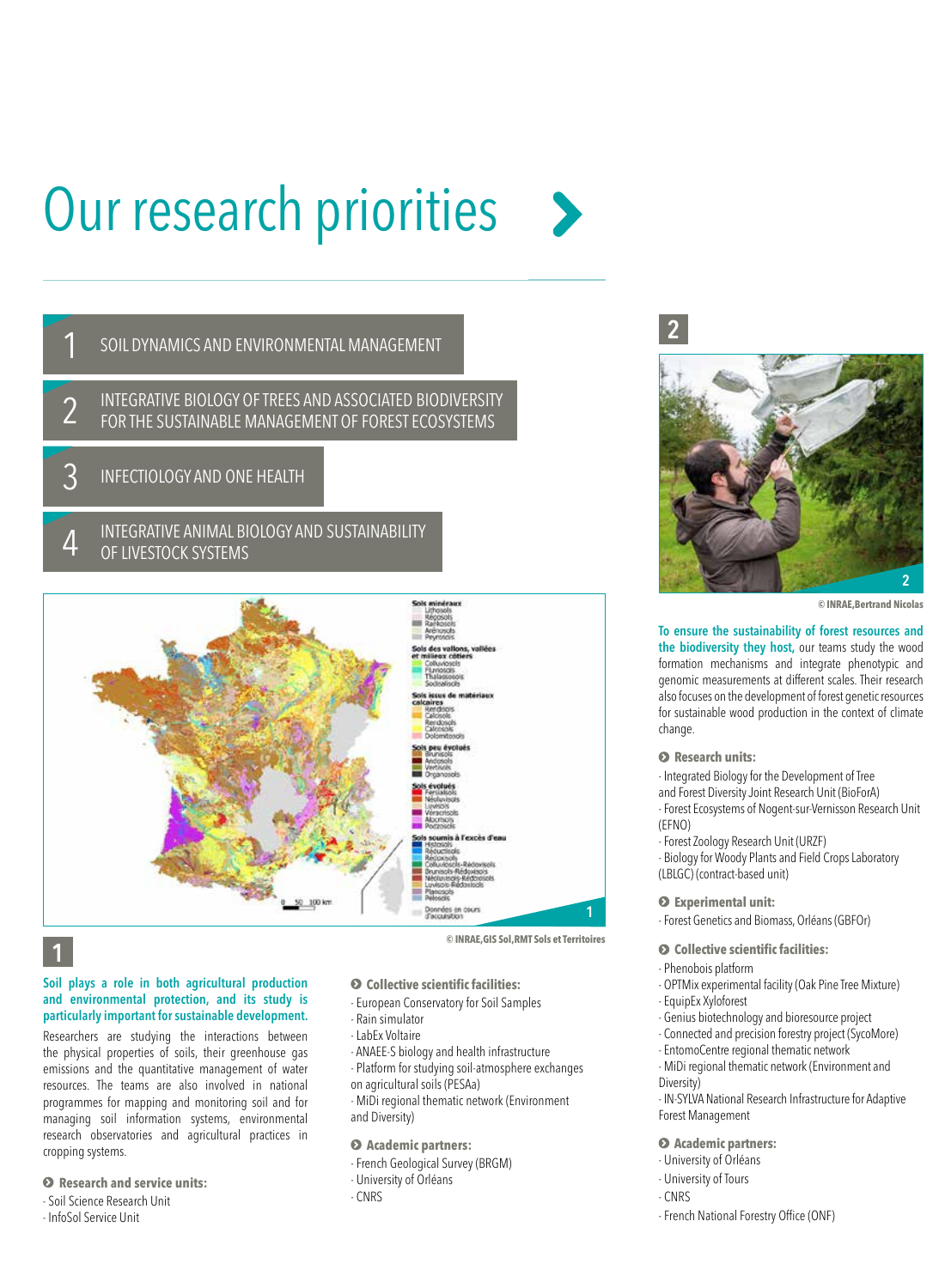# Our research priorities



INTEGRATIVE ANIMAL BIOLOGY AND SUSTAINABILITY OF LIVESTOCK SYSTEMS 4



# 1

#### Soil plays a role in both agricultural production and environmental protection, and its study is particularly important for sustainable development.

Researchers are studying the interactions between the physical properties of soils, their greenhouse gas emissions and the quantitative management of water resources. The teams are also involved in national programmes for mapping and monitoring soil and for managing soil information systems, environmental research observatories and agricultural practices in cropping systems.

#### **Research and service units:**

# - Soil Science Research Unit

- InfoSol Service Unit

- European Conservatory for Soil Samples
- Rain simulator - LabEx Voltaire
- 
- ANAEE-S biology and health infrastructure
- Platform for studying soil-atmosphere exchanges

 **Collective scientific facilities:**

- on agricultural soils (PESAa)
- MiDi regional thematic network (Environment and Diversity)

#### **Academic partners:**

- French Geological Survey (BRGM)
- University of Orléans
- CNRS



**© INRAE,Bertrand Nicolas** 

To ensure the sustainability of forest resources and the biodiversity they host, our teams study the wood formation mechanisms and integrate phenotypic and genomic measurements at different scales. Their research also focuses on the development of forest genetic resources for sustainable wood production in the context of climate change.

#### **Research units:**

2

- Integrated Biology for the Development of Tree
- and Forest Diversity Joint Research Unit (BioForA)
- Forest Ecosystems of Nogent-sur-Vernisson Research Unit (EFNO)
- Forest Zoology Research Unit (URZF)

- Biology for Woody Plants and Field Crops Laboratory (LBLGC) (contract-based unit)

#### **Experimental unit:**

- Forest Genetics and Biomass, Orléans (GBFOr)

#### **Collective scientific facilities:**

- Phenobois platform
- OPTMix experimental facility (Oak Pine Tree Mixture)
- EquipEx Xyloforest
- Genius biotechnology and bioresource project
- Connected and precision forestry project (SycoMore)
- EntomoCentre regional thematic network
- MiDi regional thematic network (Environment and
- Diversity)

- IN-SYLVA National Research Infrastructure for Adaptive Forest Management

#### **Academic partners:**

- University of Orléans
- University of Tours
- CNRS
- French National Forestry Office (ONF)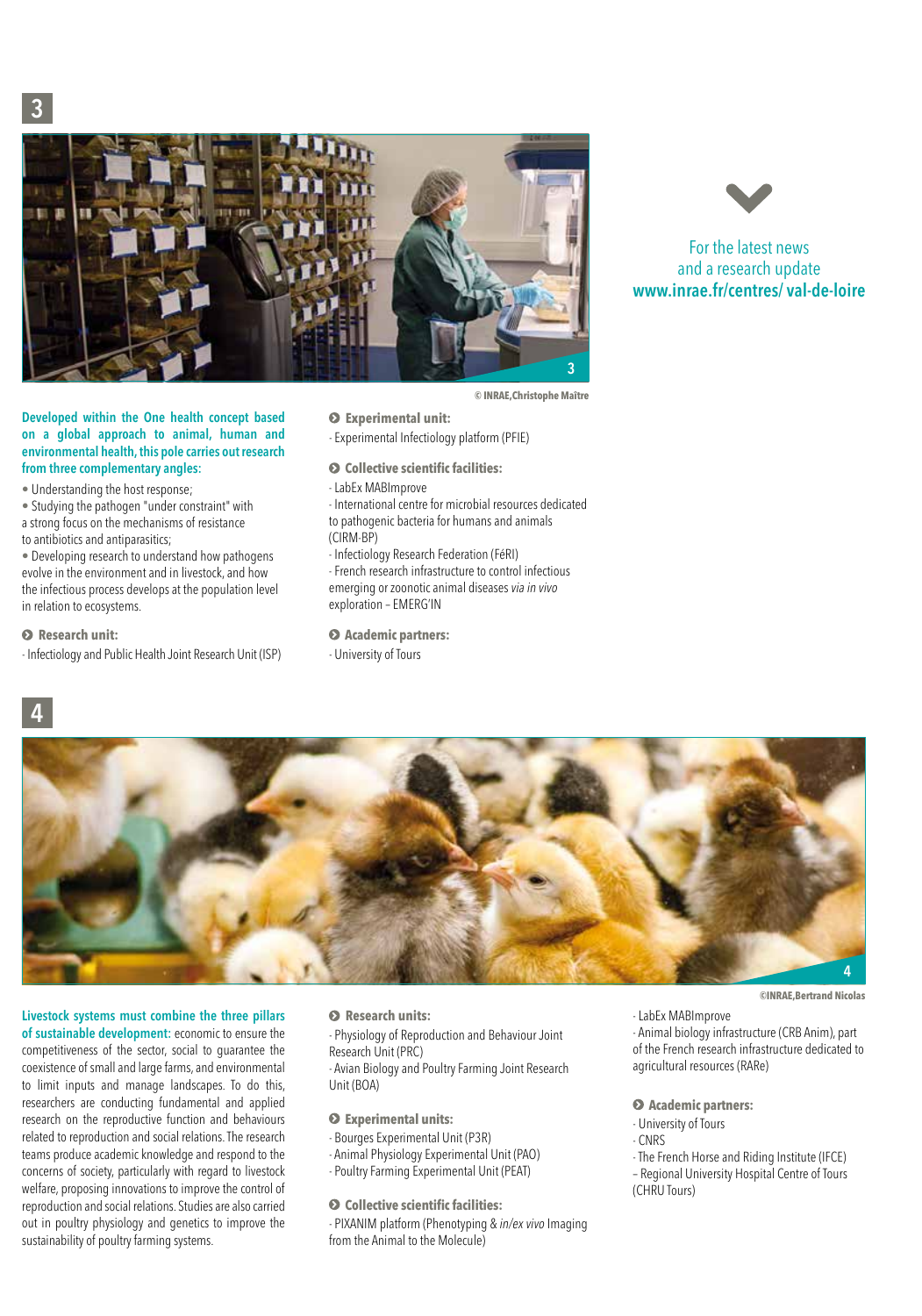3



#### Developed within the One health concept based on a global approach to animal, human and environmental health, this pole carries out research from three complementary angles:

• Understanding the host response;

• Studying the pathogen "under constraint" with a strong focus on the mechanisms of resistance to antibiotics and antiparasitics;

• Developing research to understand how pathogens evolve in the environment and in livestock, and how the infectious process develops at the population level in relation to ecosystems.

#### $\odot$  Research unit:

4

- Infectiology and Public Health Joint Research Unit (ISP)

- **Experimental unit:**
- Experimental Infectiology platform (PFIE)
- **Collective scientific facilities:**
- LabEx MABImprove
- International centre for microbial resources dedicated to pathogenic bacteria for humans and animals (CIRM-BP)

**© INRAE,Christophe Maître**

- Infectiology Research Federation (FéRI)
- French research infrastructure to control infectious emerging or zoonotic animal diseases *via in vivo* exploration – EMERG'IN
- **Academic partners:**
- University of Tours



For the latest news and a research update www.inrae.fr/centres/ val-de-loire

# 4

# Livestock systems must combine the three pillars

of sustainable development: economic to ensure the competitiveness of the sector, social to guarantee the coexistence of small and large farms, and environmental to limit inputs and manage landscapes. To do this, researchers are conducting fundamental and applied research on the reproductive function and behaviours related to reproduction and social relations. The research teams produce academic knowledge and respond to the concerns of society, particularly with regard to livestock welfare, proposing innovations to improve the control of reproduction and social relations. Studies are also carried out in poultry physiology and genetics to improve the sustainability of poultry farming systems.

#### **Research units:**

- Physiology of Reproduction and Behaviour Joint Research Unit (PRC)

- Avian Biology and Poultry Farming Joint Research Unit (BOA)

#### **Experimental units:**

- Bourges Experimental Unit (P3R)
- Animal Physiology Experimental Unit (PAO)
- Poultry Farming Experimental Unit (PEAT)

#### **Collective scientific facilities:**

- PIXANIM platform (Phenotyping & *in/ex vivo* Imaging from the Animal to the Molecule)

**©INRAE,Bertrand Nicolas** 

- LabEx MABImprove

- Animal biology infrastructure (CRB Anim), part of the French research infrastructure dedicated to agricultural resources (RARe)

#### **Academic partners:**

- University of Tours
- CNRS
- The French Horse and Riding Institute (IFCE)
- Regional University Hospital Centre of Tours (CHRU Tours)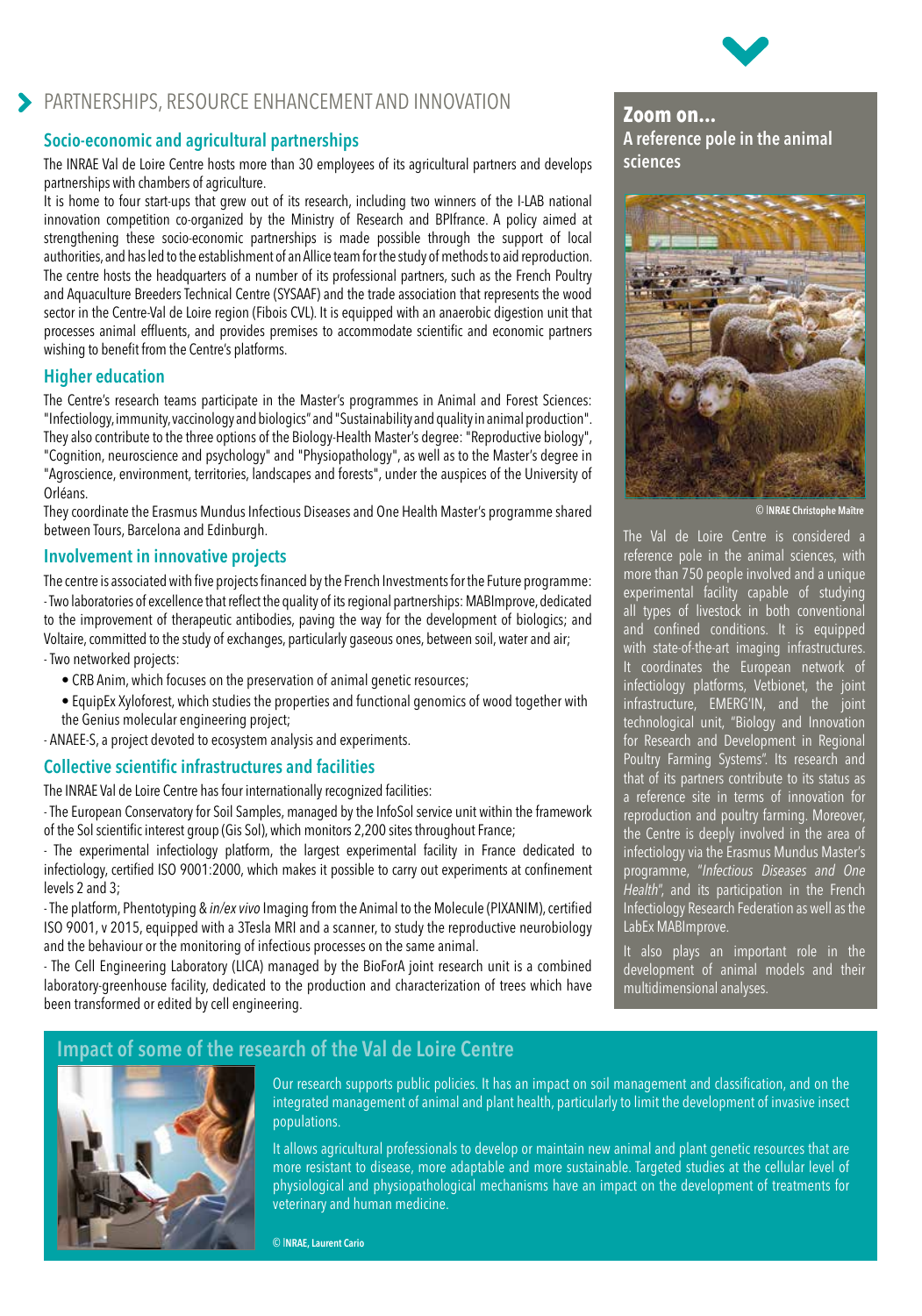

# PARTNERSHIPS, RESOURCE ENHANCEMENT AND INNOVATION

#### Socio-economic and agricultural partnerships

The INRAE Val de Loire Centre hosts more than 30 employees of its agricultural partners and develops partnerships with chambers of agriculture.

It is home to four start-ups that grew out of its research, including two winners of the I-LAB national innovation competition co-organized by the Ministry of Research and BPIfrance. A policy aimed at strengthening these socio-economic partnerships is made possible through the support of local authorities, and has led to the establishment of an Allice team for the study of methods to aid reproduction. The centre hosts the headquarters of a number of its professional partners, such as the French Poultry and Aquaculture Breeders Technical Centre (SYSAAF) and the trade association that represents the wood sector in the Centre-Val de Loire region (Fibois CVL). It is equipped with an anaerobic digestion unit that processes animal effluents, and provides premises to accommodate scientific and economic partners wishing to benefit from the Centre's platforms.

#### Higher education

The Centre's research teams participate in the Master's programmes in Animal and Forest Sciences: "Infectiology, immunity, vaccinology and biologics" and "Sustainability and quality in animal production". They also contribute to the three options of the Biology-Health Master's degree: "Reproductive biology", "Cognition, neuroscience and psychology" and "Physiopathology", as well as to the Master's degree in "Agroscience, environment, territories, landscapes and forests", under the auspices of the University of Orléans.

They coordinate the Erasmus Mundus Infectious Diseases and One Health Master's programme shared between Tours, Barcelona and Edinburgh.

#### Involvement in innovative projects

The centre is associated with five projects financed by the French Investments for the Future programme: - Two laboratories of excellence that reflect the quality of its regional partnerships: MABImprove, dedicated to the improvement of therapeutic antibodies, paving the way for the development of biologics; and Voltaire, committed to the study of exchanges, particularly gaseous ones, between soil, water and air; - Two networked projects:

- CRB Anim, which focuses on the preservation of animal genetic resources;
- EquipEx Xyloforest, which studies the properties and functional genomics of wood together with the Genius molecular engineering project;

- ANAEE-S, a project devoted to ecosystem analysis and experiments.

#### Collective scientific infrastructures and facilities

The INRAE Val de Loire Centre has four internationally recognized facilities:

- The European Conservatory for Soil Samples, managed by the InfoSol service unit within the framework of the Sol scientific interest group (Gis Sol), which monitors 2,200 sites throughout France;

- The experimental infectiology platform, the largest experimental facility in France dedicated to infectiology, certified ISO 9001:2000, which makes it possible to carry out experiments at confinement levels 2 and 3;

- The platform, Phentotyping & *in/ex vivo* Imaging from the Animal to the Molecule (PIXANIM), certified ISO 9001, v 2015, equipped with a 3Tesla MRI and a scanner, to study the reproductive neurobiology and the behaviour or the monitoring of infectious processes on the same animal.

- The Cell Engineering Laboratory (LICA) managed by the BioForA joint research unit is a combined laboratory-greenhouse facility, dedicated to the production and characterization of trees which have been transformed or edited by cell engineering.

**Zoom on...**  A reference pole in the animal sciences



© INRAE Christophe Maître

The Val de Loire Centre is considered a reference pole in the animal sciences, with more than 750 people involved and a unique experimental facility capable of studying all types of livestock in both conventional and confined conditions. It is equipped with state-of-the-art imaging infrastructures. It coordinates the European network of infectiology platforms, Vetbionet, the joint infrastructure, EMERG'IN, and the joint technological unit, "Biology and Innovation for Research and Development in Regional Poultry Farming Systems". Its research and that of its partners contribute to its status as a reference site in terms of innovation for reproduction and poultry farming. Moreover, the Centre is deeply involved in the area of infectiology via the Erasmus Mundus Master's programme, "*Infectious Diseases and One Health*", and its participation in the French Infectiology Research Federation as well as the LabEx MABImprove.

It also plays an important role in the development of animal models and their multidimensional analyses.

# Impact of some of the research of the Val de Loire Centre



Our research supports public policies. It has an impact on soil management and classification, and on the integrated management of animal and plant health, particularly to limit the development of invasive insect populations.

It allows agricultural professionals to develop or maintain new animal and plant genetic resources that are more resistant to disease, more adaptable and more sustainable. Targeted studies at the cellular level of physiological and physiopathological mechanisms have an impact on the development of treatments for veterinary and human medicine.

© INRAE, Laurent Cario